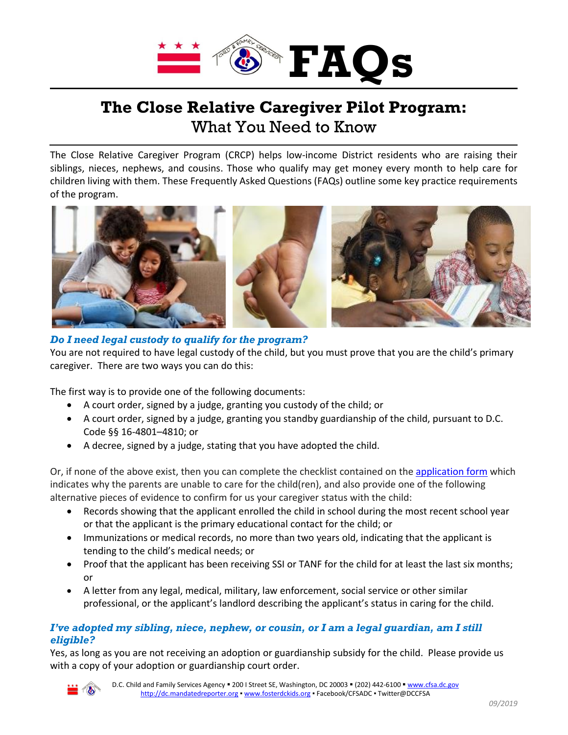

# **The Close Relative Caregiver Pilot Program:** What You Need to Know

The Close Relative Caregiver Program (CRCP) helps low-income District residents who are raising their siblings, nieces, nephews, and cousins. Those who qualify may get money every month to help care for children living with them. These Frequently Asked Questions (FAQs) outline some key practice requirements of the program.



# *Do I need legal custody to qualify for the program?*

You are not required to have legal custody of the child, but you must prove that you are the child's primary caregiver. There are two ways you can do this:

The first way is to provide one of the following documents:

- A court order, signed by a judge, granting you custody of the child; or
- A court order, signed by a judge, granting you standby guardianship of the child, pursuant to D.C. Code §§ 16-4801–4810; or
- A decree, signed by a judge, stating that you have adopted the child.

Or, if none of the above exist, then you can complete the checklist contained on the [application](https://cfsa.dc.gov/publication/ai-close-relative-caregiver-program) form which indicates why the parents are unable to care for the child(ren), and also provide one of the following alternative pieces of evidence to confirm for us your caregiver status with the child:

- Records showing that the applicant enrolled the child in school during the most recent school year or that the applicant is the primary educational contact for the child; or
- Immunizations or medical records, no more than two years old, indicating that the applicant is tending to the child's medical needs; or
- Proof that the applicant has been receiving SSI or TANF for the child for at least the last six months; or
- A letter from any legal, medical, military, law enforcement, social service or other similar professional, or the applicant's landlord describing the applicant's status in caring for the child.

# *I've adopted my sibling, niece, nephew, or cousin, or I am a legal guardian, am I still eligible?*

Yes, as long as you are not receiving an adoption or guardianship subsidy for the child. Please provide us with a copy of your adoption or guardianship court order.

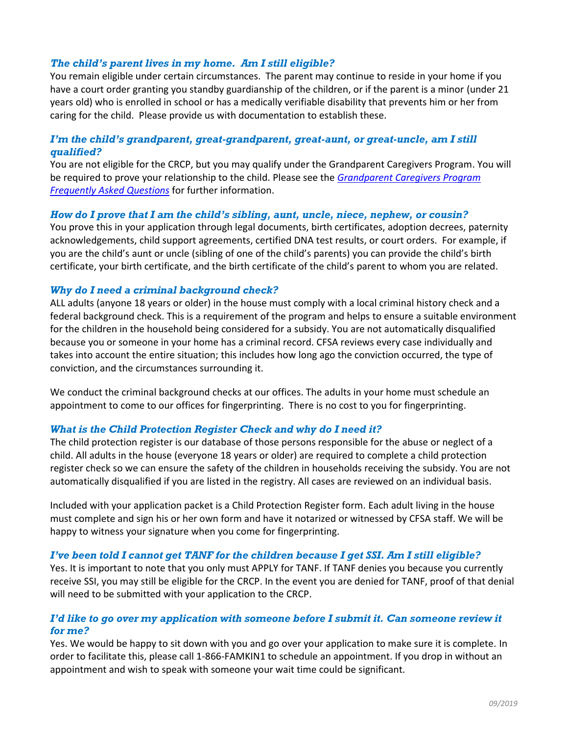# *The child's parent lives in my home. Am I still eligible?*

You remain eligible under certain circumstances. The parent may continue to reside in your home if you have a court order granting you standby guardianship of the children, or if the parent is a minor (under 21 years old) who is enrolled in school or has a medically verifiable disability that prevents him or her from caring for the child. Please provide us with documentation to establish these.

## *I'm the child's grandparent, great-grandparent, great-aunt, or great-uncle, am I still qualified?*

You are not eligible for the CRCP, but you may qualify under the Grandparent Caregivers Program. You will be required to prove your relationship to the child. Please see the *[Grandparent Caregivers Program](https://cfsa.dc.gov/publication/program-grandparent-caregivers-program)  [Frequently Asked Questions](https://cfsa.dc.gov/publication/program-grandparent-caregivers-program)* for further information.

## *How do I prove that I am the child's sibling, aunt, uncle, niece, nephew, or cousin?*

You prove this in your application through legal documents, birth certificates, adoption decrees, paternity acknowledgements, child support agreements, certified DNA test results, or court orders. For example, if you are the child's aunt or uncle (sibling of one of the child's parents) you can provide the child's birth certificate, your birth certificate, and the birth certificate of the child's parent to whom you are related.

## *Why do I need a criminal background check?*

ALL adults (anyone 18 years or older) in the house must comply with a local criminal history check and a federal background check. This is a requirement of the program and helps to ensure a suitable environment for the children in the household being considered for a subsidy. You are not automatically disqualified because you or someone in your home has a criminal record. CFSA reviews every case individually and takes into account the entire situation; this includes how long ago the conviction occurred, the type of conviction, and the circumstances surrounding it.

We conduct the criminal background checks at our offices. The adults in your home must schedule an appointment to come to our offices for fingerprinting. There is no cost to you for fingerprinting.

## *What is the Child Protection Register Check and why do I need it?*

The child protection register is our database of those persons responsible for the abuse or neglect of a child. All adults in the house (everyone 18 years or older) are required to complete a child protection register check so we can ensure the safety of the children in households receiving the subsidy. You are not automatically disqualified if you are listed in the registry. All cases are reviewed on an individual basis.

Included with your application packet is a Child Protection Register form. Each adult living in the house must complete and sign his or her own form and have it notarized or witnessed by CFSA staff. We will be happy to witness your signature when you come for fingerprinting.

#### *I've been told I cannot get TANF for the children because I get SSI. Am I still eligible?*

Yes. It is important to note that you only must APPLY for TANF. If TANF denies you because you currently receive SSI, you may still be eligible for the CRCP. In the event you are denied for TANF, proof of that denial will need to be submitted with your application to the CRCP.

## *I'd like to go over my application with someone before I submit it. Can someone review it for me?*

Yes. We would be happy to sit down with you and go over your application to make sure it is complete. In order to facilitate this, please call 1-866-FAMKIN1 to schedule an appointment. If you drop in without an appointment and wish to speak with someone your wait time could be significant.